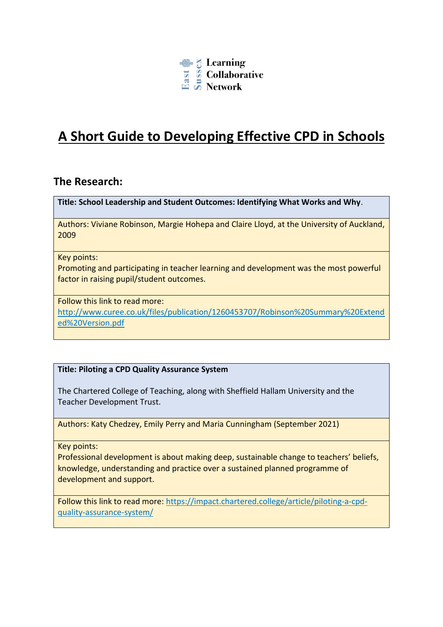

# **A Short Guide to Developing Effective CPD in Schools**

### **The Research:**

**Title: School Leadership and Student Outcomes: Identifying What Works and Why**.

Authors: Viviane Robinson, Margie Hohepa and Claire Lloyd, at the University of Auckland, 2009

#### Key points:

Promoting and participating in teacher learning and development was the most powerful factor in raising pupil/student outcomes.

#### Follow this link to read more:

[http://www.curee.co.uk/files/publication/1260453707/Robinson%20Summary%20Extend](http://www.curee.co.uk/files/publication/1260453707/Robinson%20Summary%20Extended%20Version.pdf) [ed%20Version.pdf](http://www.curee.co.uk/files/publication/1260453707/Robinson%20Summary%20Extended%20Version.pdf)

### **Title: Piloting a CPD Quality Assurance System**

The Chartered College of Teaching, along with Sheffield Hallam University and the Teacher Development Trust.

Authors: Katy Chedzey, Emily Perry and Maria Cunningham (September 2021)

Key points:

Professional development is about making deep, sustainable change to teachers' beliefs, knowledge, understanding and practice over a sustained planned programme of development and support.

Follow this link to read more: https://impact.chartered.college/article/piloting-a-cpdquality-assurance-system/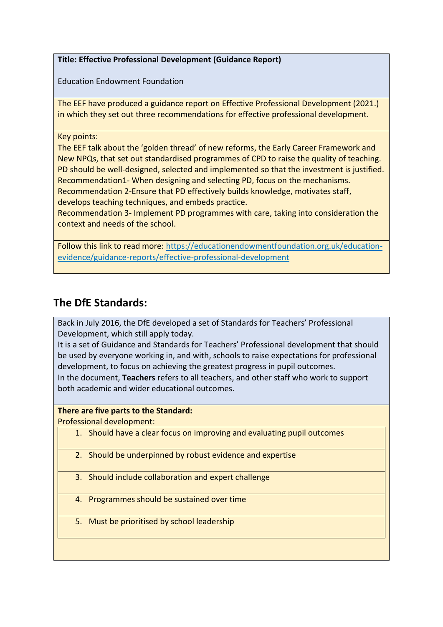**Title: Effective Professional Development (Guidance Report)**

Education Endowment Foundation

The EEF have produced a guidance report on Effective Professional Development (2021.) in which they set out three recommendations for effective professional development.

#### Key points:

The EEF talk about the 'golden thread' of new reforms, the Early Career Framework and New NPQs, that set out standardised programmes of CPD to raise the quality of teaching. PD should be well-designed, selected and implemented so that the investment is justified. Recommendation1- When designing and selecting PD, focus on the mechanisms. Recommendation 2-Ensure that PD effectively builds knowledge, motivates staff,

develops teaching techniques, and embeds practice. Recommendation 3- Implement PD programmes with care, taking into consideration the

context and needs of the school.

Follow this link to read more: [https://educationendowmentfoundation.org.uk/education](https://educationendowmentfoundation.org.uk/education-evidence/guidance-reports/effective-professional-development)[evidence/guidance-reports/effective-professional-development](https://educationendowmentfoundation.org.uk/education-evidence/guidance-reports/effective-professional-development)

## **The DfE Standards:**

Back in July 2016, the DfE developed a set of Standards for Teachers' Professional Development, which still apply today.

It is a set of Guidance and Standards for Teachers' Professional development that should be used by everyone working in, and with, schools to raise expectations for professional development, to focus on achieving the greatest progress in pupil outcomes.

In the document, **Teachers** refers to all teachers, and other staff who work to support both academic and wider educational outcomes.

### **There are five parts to the Standard:**

Professional development:

- 1. Should have a clear focus on improving and evaluating pupil outcomes
- 2. Should be underpinned by robust evidence and expertise
- 3. Should include collaboration and expert challenge
- 4. Programmes should be sustained over time
- 5. Must be prioritised by school leadership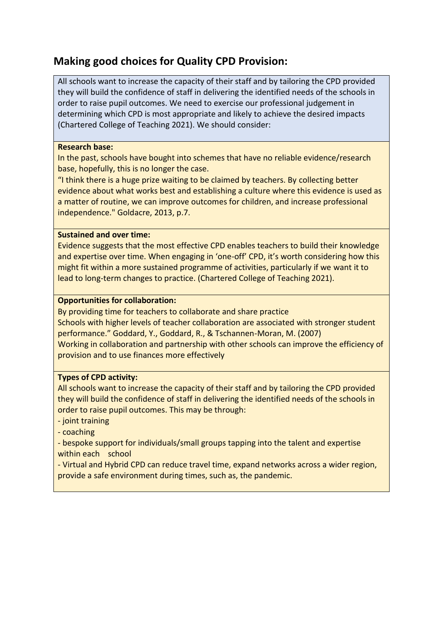## **Making good choices for Quality CPD Provision:**

All schools want to increase the capacity of their staff and by tailoring the CPD provided they will build the confidence of staff in delivering the identified needs of the schools in order to raise pupil outcomes. We need to exercise our professional judgement in determining which CPD is most appropriate and likely to achieve the desired impacts (Chartered College of Teaching 2021). We should consider:

#### **Research base:**

In the past, schools have bought into schemes that have no reliable evidence/research base, hopefully, this is no longer the case.

"I think there is a huge prize waiting to be claimed by teachers. By collecting better evidence about what works best and establishing a culture where this evidence is used as a matter of routine, we can improve outcomes for children, and increase professional independence." Goldacre, 2013, p.7.

#### **Sustained and over time:**

Evidence suggests that the most effective CPD enables teachers to build their knowledge and expertise over time. When engaging in 'one-off' CPD, it's worth considering how this might fit within a more sustained programme of activities, particularly if we want it to lead to long-term changes to practice. (Chartered College of Teaching 2021).

#### **Opportunities for collaboration:**

By providing time for teachers to collaborate and share practice Schools with higher levels of teacher collaboration are associated with stronger student performance." Goddard, Y., Goddard, R., & Tschannen-Moran, M. (2007) Working in collaboration and partnership with other schools can improve the efficiency of provision and to use finances more effectively

### **Types of CPD activity:**

All schools want to increase the capacity of their staff and by tailoring the CPD provided they will build the confidence of staff in delivering the identified needs of the schools in order to raise pupil outcomes. This may be through:

### - joint training

- coaching

- bespoke support for individuals/small groups tapping into the talent and expertise within each school

- Virtual and Hybrid CPD can reduce travel time, expand networks across a wider region, provide a safe environment during times, such as, the pandemic.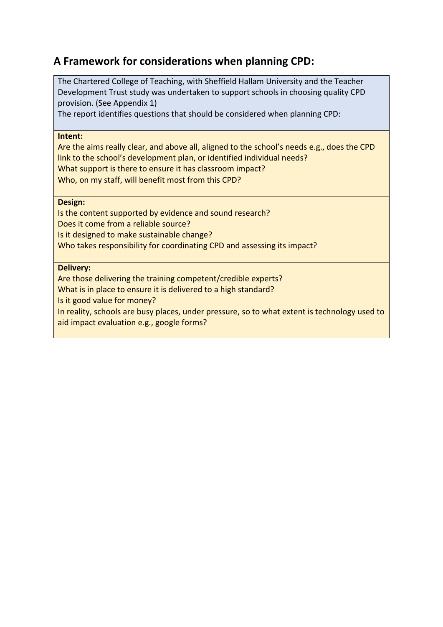## **A Framework for considerations when planning CPD:**

The Chartered College of Teaching, with Sheffield Hallam University and the Teacher Development Trust study was undertaken to support schools in choosing quality CPD provision. (See Appendix 1)

The report identifies questions that should be considered when planning CPD:

#### **Intent:**

Are the aims really clear, and above all, aligned to the school's needs e.g., does the CPD link to the school's development plan, or identified individual needs? What support is there to ensure it has classroom impact? Who, on my staff, will benefit most from this CPD?

#### **Design:**

Is the content supported by evidence and sound research? Does it come from a reliable source? Is it designed to make sustainable change? Who takes responsibility for coordinating CPD and assessing its impact?

#### **Delivery:**

Are those delivering the training competent/credible experts?

What is in place to ensure it is delivered to a high standard?

Is it good value for money?

In reality, schools are busy places, under pressure, so to what extent is technology used to aid impact evaluation e.g., google forms?